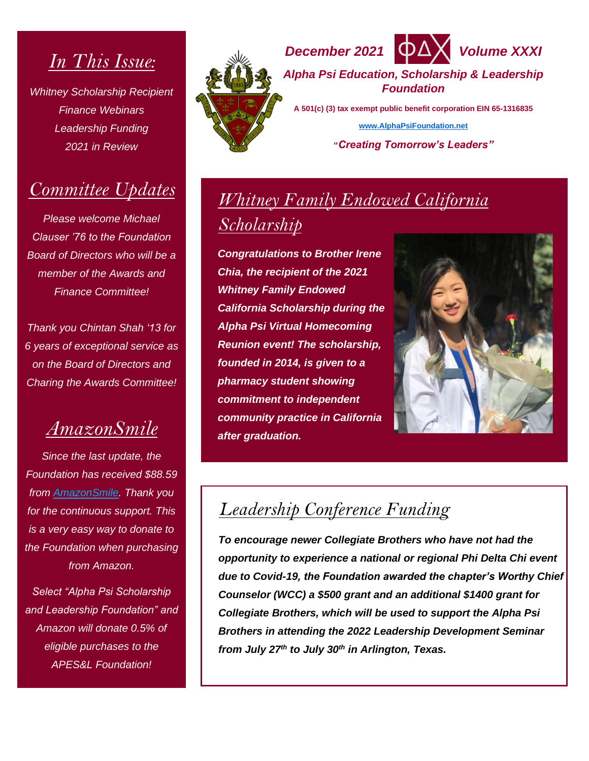## *In This Issue:*

*Whitney Scholarship Recipient Finance Webinars Leadership Funding 2021 in Review*

#### *Committee Updates*

*Please welcome Michael Clauser '76 to the Foundation Board of Directors who will be a member of the Awards and Finance Committee!*

*Thank you Chintan Shah '13 for 6 years of exceptional service as on the Board of Directors and Charing the Awards Committee!*

### *AmazonSmile*

*Since the last update, the Foundation has received \$88.59 from [AmazonSmile.](https://smile.amazon.com/gp/chpf/homepage?orig=%2F) Thank you for the continuous support. This is a very easy way to donate to the Foundation when purchasing from Amazon.*

*Select "Alpha Psi Scholarship and Leadership Foundation" and Amazon will donate 0.5% of eligible purchases to the APES&L Foundation!*





*Alpha Psi Education, Scholarship & Leadership Foundation*

**A 501(c) (3) tax exempt public benefit corporation EIN 65-1316835 [www.AlphaPsiFoundation.net](http://www.alphapsifoundation.net/)**

**"***Creating Tomorrow's Leaders"*

# *Whitney Family Endowed California Scholarship*

*Congratulations to Brother Irene Chia, the recipient of the 2021 Whitney Family Endowed California Scholarship during the Alpha Psi Virtual Homecoming Reunion event! The scholarship, founded in 2014, is given to a pharmacy student showing commitment to independent community practice in California after graduation.*



## *Leadership Conference Funding*

*To encourage newer Collegiate Brothers who have not had the opportunity to experience a national or regional Phi Delta Chi event due to Covid-19, the Foundation awarded the chapter's Worthy Chief Counselor (WCC) a \$500 grant and an additional \$1400 grant for Collegiate Brothers, which will be used to support the Alpha Psi Brothers in attending the 2022 Leadership Development Seminar from July 27th to July 30th in Arlington, Texas.*